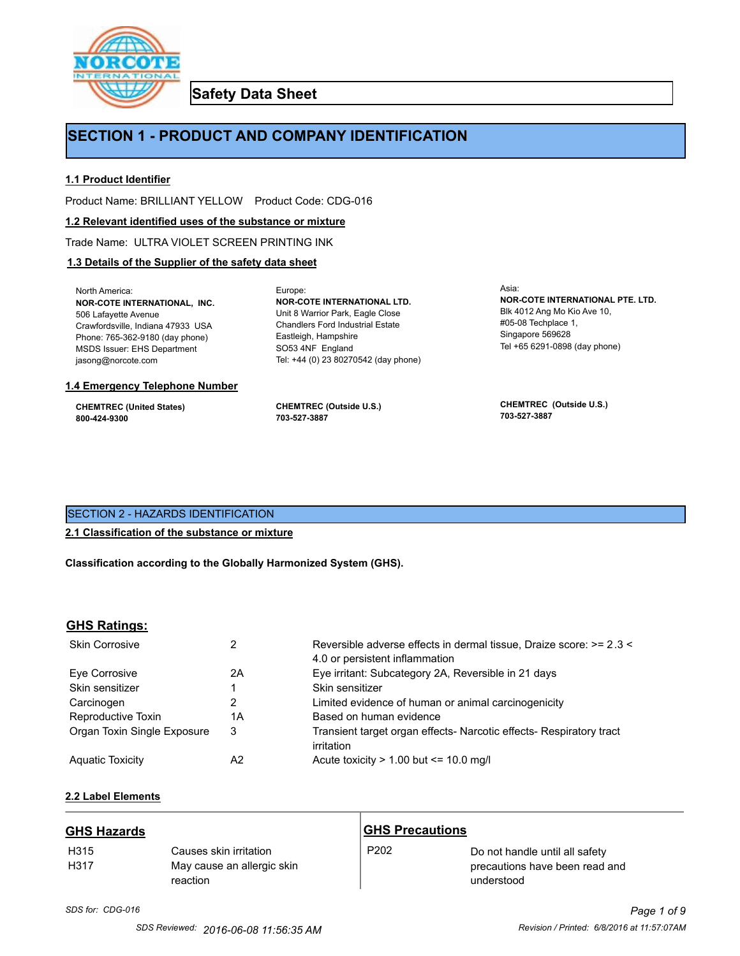

**Safety Data Sheet**

## **SECTION 1 - PRODUCT AND COMPANY IDENTIFICATION**

Europe:

### **1.1 Product Identifier**

Product Name: BRILLIANT YELLOW Product Code: CDG-016

#### **1.2 Relevant identified uses of the substance or mixture**

Trade Name: ULTRA VIOLET SCREEN PRINTING INK

## **1.3 Details of the Supplier of the safety data sheet**

North America: **NOR-COTE INTERNATIONAL, INC.** 506 Lafayette Avenue Crawfordsville, Indiana 47933 USA Phone: 765-362-9180 (day phone) MSDS Issuer: EHS Department jasong@norcote.com

#### **1.4 Emergency Telephone Number**

**CHEMTREC (United States) 800-424-9300**

**CHEMTREC (Outside U.S.) 703-527-3887**

Eastleigh, Hampshire SO53 4NF England

**NOR-COTE INTERNATIONAL LTD.** Unit 8 Warrior Park, Eagle Close Chandlers Ford Industrial Estate

Tel: +44 (0) 23 80270542 (day phone)

Asia: **NOR-COTE INTERNATIONAL PTE. LTD.** Blk 4012 Ang Mo Kio Ave 10, #05-08 Techplace 1, Singapore 569628 Tel +65 6291-0898 (day phone)

**CHEMTREC (Outside U.S.) 703-527-3887**

## SECTION 2 - HAZARDS IDENTIFICATION

## **2.1 Classification of the substance or mixture**

**Classification according to the Globally Harmonized System (GHS).**

## **GHS Ratings:**

| <b>Skin Corrosive</b>       | 2  | Reversible adverse effects in dermal tissue, Draize score: >= 2.3 <<br>4.0 or persistent inflammation |
|-----------------------------|----|-------------------------------------------------------------------------------------------------------|
| Eve Corrosive               | 2A | Eye irritant: Subcategory 2A, Reversible in 21 days                                                   |
| Skin sensitizer             |    | Skin sensitizer                                                                                       |
| Carcinogen                  |    | Limited evidence of human or animal carcinogenicity                                                   |
| Reproductive Toxin          | 1A | Based on human evidence                                                                               |
| Organ Toxin Single Exposure | 3  | Transient target organ effects- Narcotic effects- Respiratory tract<br>irritation                     |
| <b>Aguatic Toxicity</b>     | A2 | Acute toxicity $> 1.00$ but $\leq 10.0$ mg/l                                                          |

## **2.2 Label Elements**

| <b>GHS Hazards</b>       |                                                                  | <b>GHS Precautions</b> |                                                                                |
|--------------------------|------------------------------------------------------------------|------------------------|--------------------------------------------------------------------------------|
| H <sub>315</sub><br>H317 | Causes skin irritation<br>May cause an allergic skin<br>reaction | P <sub>202</sub>       | Do not handle until all safety<br>precautions have been read and<br>understood |

# *SDS for: CDG-016 Page 1 of 9*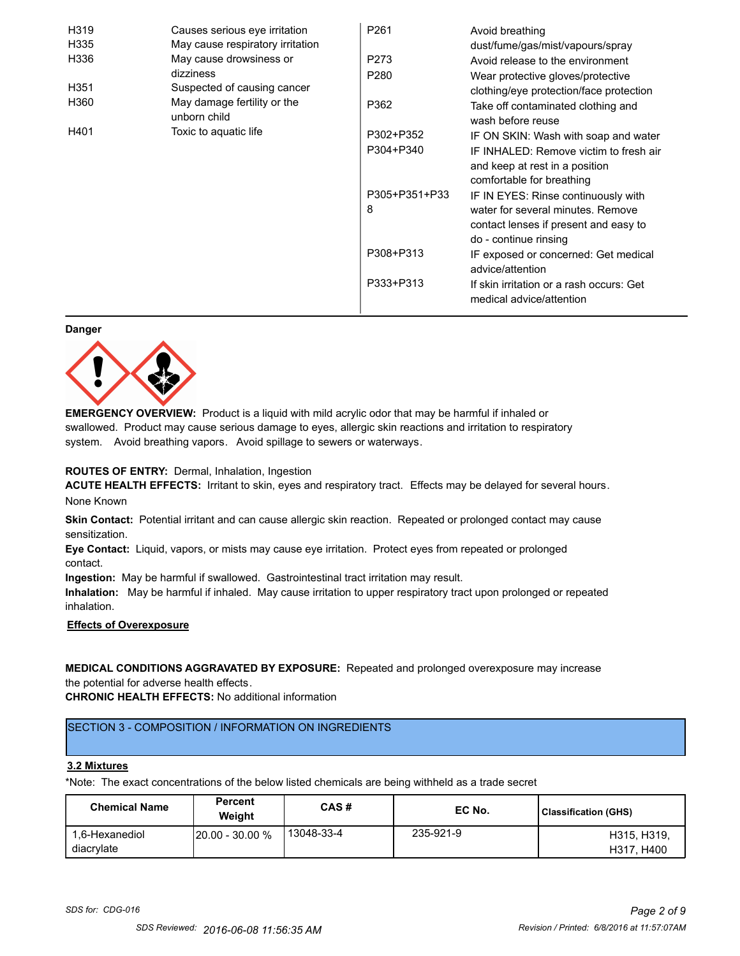| H319 | Causes serious eye irritation               | P <sub>261</sub> | Avoid breathing                                                      |
|------|---------------------------------------------|------------------|----------------------------------------------------------------------|
| H335 | May cause respiratory irritation            |                  | dust/fume/gas/mist/vapours/spray                                     |
| H336 | May cause drowsiness or                     | P273             | Avoid release to the environment                                     |
|      | dizziness                                   | P <sub>280</sub> | Wear protective gloves/protective                                    |
| H351 | Suspected of causing cancer                 |                  | clothing/eye protection/face protection                              |
| H360 | May damage fertility or the<br>unborn child | P362             | Take off contaminated clothing and<br>wash before reuse              |
| H401 | Toxic to aquatic life                       | P302+P352        | IF ON SKIN: Wash with soap and water                                 |
|      |                                             | P304+P340        | IF INHALED: Remove victim to fresh air                               |
|      |                                             |                  | and keep at rest in a position                                       |
|      |                                             |                  | comfortable for breathing                                            |
|      |                                             | P305+P351+P33    | IF IN EYES: Rinse continuously with                                  |
|      |                                             | 8                | water for several minutes. Remove                                    |
|      |                                             |                  | contact lenses if present and easy to                                |
|      |                                             |                  | do - continue rinsing                                                |
|      |                                             | P308+P313        | IF exposed or concerned: Get medical                                 |
|      |                                             |                  | advice/attention                                                     |
|      |                                             | P333+P313        | If skin irritation or a rash occurs: Get<br>medical advice/attention |

#### **Danger**



**EMERGENCY OVERVIEW:** Product is a liquid with mild acrylic odor that may be harmful if inhaled or swallowed. Product may cause serious damage to eyes, allergic skin reactions and irritation to respiratory system. Avoid breathing vapors. Avoid spillage to sewers or waterways.

#### **ROUTES OF ENTRY:** Dermal, Inhalation, Ingestion

**ACUTE HEALTH EFFECTS:** Irritant to skin, eyes and respiratory tract. Effects may be delayed for several hours. None Known

**Skin Contact:** Potential irritant and can cause allergic skin reaction. Repeated or prolonged contact may cause sensitization.

**Eye Contact:** Liquid, vapors, or mists may cause eye irritation. Protect eyes from repeated or prolonged contact.

**Ingestion:** May be harmful if swallowed. Gastrointestinal tract irritation may result.

**Inhalation:** May be harmful if inhaled. May cause irritation to upper respiratory tract upon prolonged or repeated inhalation.

## **Effects of Overexposure**

## **MEDICAL CONDITIONS AGGRAVATED BY EXPOSURE:** Repeated and prolonged overexposure may increase the potential for adverse health effects.

**CHRONIC HEALTH EFFECTS:** No additional information

## SECTION 3 - COMPOSITION / INFORMATION ON INGREDIENTS

#### **3.2 Mixtures**

\*Note: The exact concentrations of the below listed chemicals are being withheld as a trade secret

| <b>Chemical Name</b>         | <b>Percent</b><br>Weiaht | CAS#       | EC No.    | Classification (GHS)      |
|------------------------------|--------------------------|------------|-----------|---------------------------|
| 1.6-Hexanediol<br>diacrylate | $120.00 - 30.00 %$       | 13048-33-4 | 235-921-9 | H315, H319,<br>H317, H400 |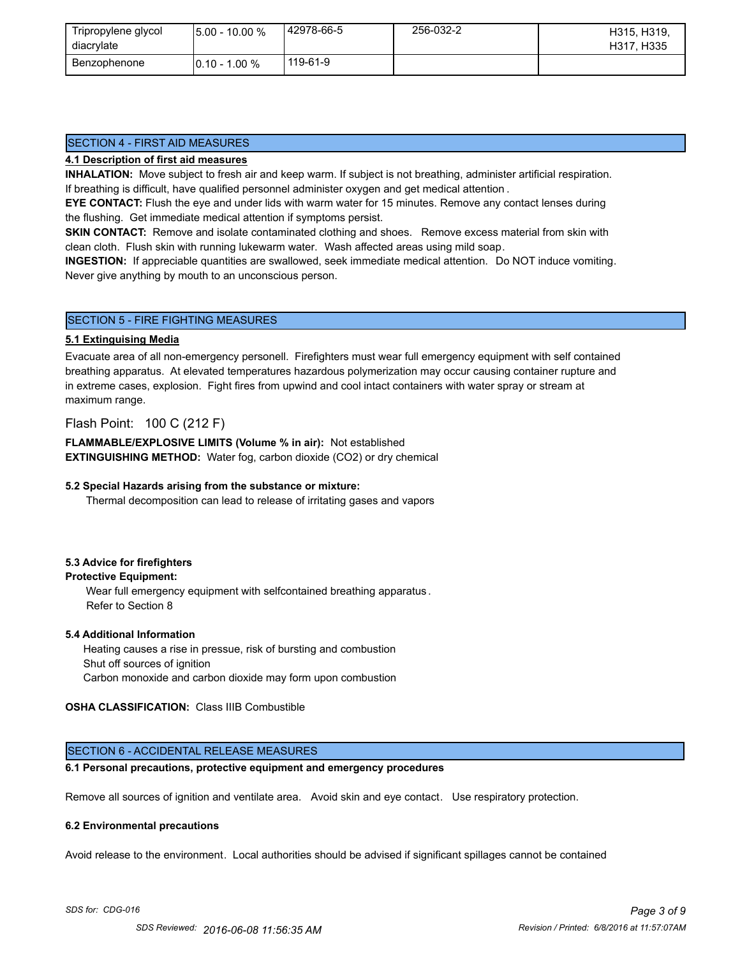| Tripropylene glycol<br>diacrylate | $15.00 - 10.00 %$ | 42978-66-5 | 256-032-2 | H315, H319,<br>H317, H335 |
|-----------------------------------|-------------------|------------|-----------|---------------------------|
| Benzophenone                      | $10.10 - 1.00 \%$ | 119-61-9   |           |                           |

## SECTION 4 - FIRST AID MEASURES

#### **4.1 Description of first aid measures**

**INHALATION:** Move subject to fresh air and keep warm. If subject is not breathing, administer artificial respiration. If breathing is difficult, have qualified personnel administer oxygen and get medical attention .

**EYE CONTACT:** Flush the eye and under lids with warm water for 15 minutes. Remove any contact lenses during the flushing. Get immediate medical attention if symptoms persist.

**SKIN CONTACT:** Remove and isolate contaminated clothing and shoes. Remove excess material from skin with clean cloth. Flush skin with running lukewarm water. Wash affected areas using mild soap.

**INGESTION:** If appreciable quantities are swallowed, seek immediate medical attention. Do NOT induce vomiting. Never give anything by mouth to an unconscious person.

#### SECTION 5 - FIRE FIGHTING MEASURES

#### **5.1 Extinguising Media**

Evacuate area of all non-emergency personell. Firefighters must wear full emergency equipment with self contained breathing apparatus. At elevated temperatures hazardous polymerization may occur causing container rupture and in extreme cases, explosion. Fight fires from upwind and cool intact containers with water spray or stream at maximum range.

### Flash Point: 100 C (212 F)

**FLAMMABLE/EXPLOSIVE LIMITS (Volume % in air):** Not established **EXTINGUISHING METHOD:** Water fog, carbon dioxide (CO2) or dry chemical

#### **5.2 Special Hazards arising from the substance or mixture:**

Thermal decomposition can lead to release of irritating gases and vapors

#### **5.3 Advice for firefighters**

#### **Protective Equipment:**

Wear full emergency equipment with selfcontained breathing apparatus . Refer to Section 8

#### **5.4 Additional Information**

 Heating causes a rise in pressue, risk of bursting and combustion Shut off sources of ignition Carbon monoxide and carbon dioxide may form upon combustion

#### **OSHA CLASSIFICATION:** Class IIIB Combustible

## SECTION 6 - ACCIDENTAL RELEASE MEASURES

#### **6.1 Personal precautions, protective equipment and emergency procedures**

Remove all sources of ignition and ventilate area. Avoid skin and eye contact. Use respiratory protection.

#### **6.2 Environmental precautions**

Avoid release to the environment. Local authorities should be advised if significant spillages cannot be contained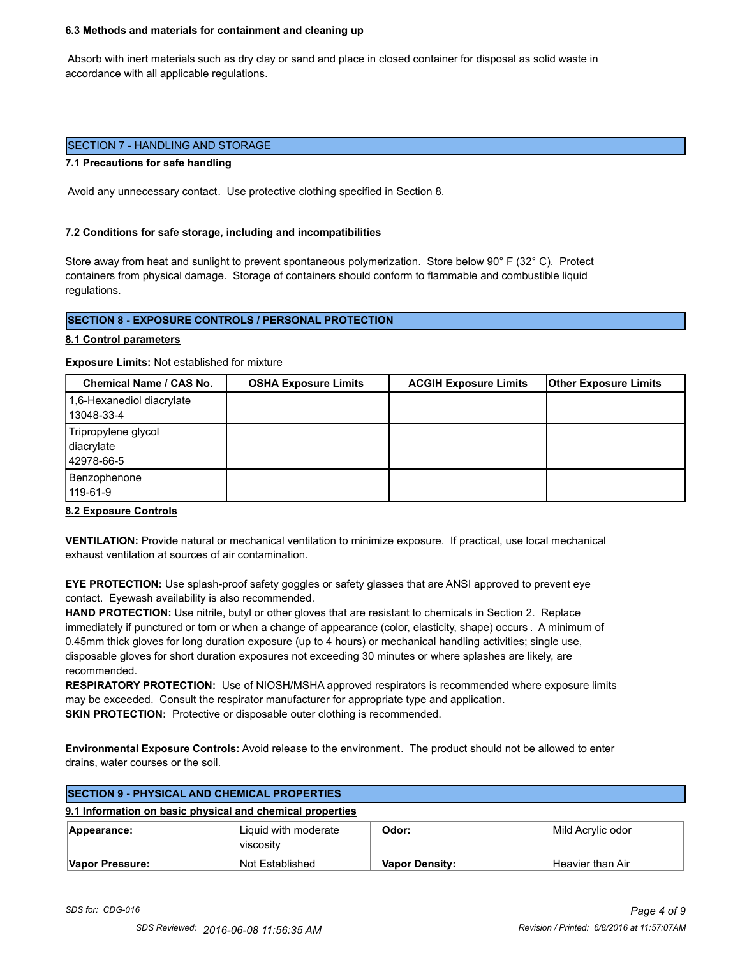#### **6.3 Methods and materials for containment and cleaning up**

 Absorb with inert materials such as dry clay or sand and place in closed container for disposal as solid waste in accordance with all applicable regulations.

#### SECTION 7 - HANDLING AND STORAGE

#### **7.1 Precautions for safe handling**

Avoid any unnecessary contact. Use protective clothing specified in Section 8.

#### **7.2 Conditions for safe storage, including and incompatibilities**

Store away from heat and sunlight to prevent spontaneous polymerization. Store below 90° F (32° C). Protect containers from physical damage. Storage of containers should conform to flammable and combustible liquid regulations.

#### **SECTION 8 - EXPOSURE CONTROLS / PERSONAL PROTECTION**

#### **8.1 Control parameters**

**Exposure Limits:** Not established for mixture

| Chemical Name / CAS No.                         | <b>OSHA Exposure Limits</b> | <b>ACGIH Exposure Limits</b> | <b>Other Exposure Limits</b> |
|-------------------------------------------------|-----------------------------|------------------------------|------------------------------|
| 1,6-Hexanediol diacrylate<br>13048-33-4         |                             |                              |                              |
| Tripropylene glycol<br>diacrylate<br>42978-66-5 |                             |                              |                              |
| Benzophenone<br>119-61-9                        |                             |                              |                              |

#### **8.2 Exposure Controls**

**VENTILATION:** Provide natural or mechanical ventilation to minimize exposure. If practical, use local mechanical exhaust ventilation at sources of air contamination.

**EYE PROTECTION:** Use splash-proof safety goggles or safety glasses that are ANSI approved to prevent eye contact. Eyewash availability is also recommended.

**HAND PROTECTION:** Use nitrile, butyl or other gloves that are resistant to chemicals in Section 2. Replace immediately if punctured or torn or when a change of appearance (color, elasticity, shape) occurs . A minimum of 0.45mm thick gloves for long duration exposure (up to 4 hours) or mechanical handling activities; single use, disposable gloves for short duration exposures not exceeding 30 minutes or where splashes are likely, are recommended.

**RESPIRATORY PROTECTION:** Use of NIOSH/MSHA approved respirators is recommended where exposure limits may be exceeded. Consult the respirator manufacturer for appropriate type and application. **SKIN PROTECTION:** Protective or disposable outer clothing is recommended.

**Environmental Exposure Controls:** Avoid release to the environment. The product should not be allowed to enter drains, water courses or the soil.

| <b>SECTION 9 - PHYSICAL AND CHEMICAL PROPERTIES</b>       |                                   |                       |                   |  |
|-----------------------------------------------------------|-----------------------------------|-----------------------|-------------------|--|
| 9.1 Information on basic physical and chemical properties |                                   |                       |                   |  |
| Appearance:                                               | Liquid with moderate<br>viscosity | Odor:                 | Mild Acrylic odor |  |
| Vapor Pressure:                                           | Not Established                   | <b>Vapor Density:</b> | Heavier than Air  |  |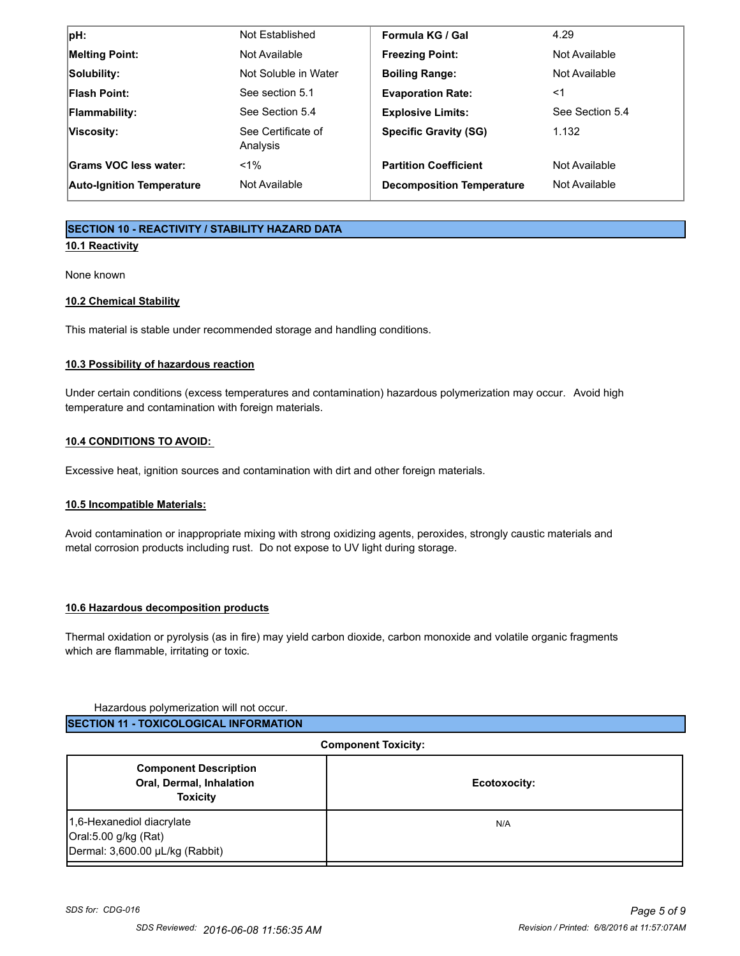| $ pH$ :                          | Not Established                | Formula KG / Gal                 | 4.29            |
|----------------------------------|--------------------------------|----------------------------------|-----------------|
| <b>Melting Point:</b>            | Not Available                  | <b>Freezing Point:</b>           | Not Available   |
| Solubility:                      | Not Soluble in Water           | <b>Boiling Range:</b>            | Not Available   |
| <b>Flash Point:</b>              | See section 5.1                | <b>Evaporation Rate:</b>         | <1              |
| <b>Flammability:</b>             | See Section 5.4                | <b>Explosive Limits:</b>         | See Section 5.4 |
| Viscosity:                       | See Certificate of<br>Analysis | <b>Specific Gravity (SG)</b>     | 1.132           |
| Grams VOC less water:            | $< 1\%$                        | <b>Partition Coefficient</b>     | Not Available   |
| <b>Auto-Ignition Temperature</b> | Not Available                  | <b>Decomposition Temperature</b> | Not Available   |

## **SECTION 10 - REACTIVITY / STABILITY HAZARD DATA**

## **10.1 Reactivity**

None known

## **10.2 Chemical Stability**

This material is stable under recommended storage and handling conditions.

### **10.3 Possibility of hazardous reaction**

Under certain conditions (excess temperatures and contamination) hazardous polymerization may occur. Avoid high temperature and contamination with foreign materials.

### **10.4 CONDITIONS TO AVOID:**

Excessive heat, ignition sources and contamination with dirt and other foreign materials.

## **10.5 Incompatible Materials:**

Avoid contamination or inappropriate mixing with strong oxidizing agents, peroxides, strongly caustic materials and metal corrosion products including rust. Do not expose to UV light during storage.

#### **10.6 Hazardous decomposition products**

Thermal oxidation or pyrolysis (as in fire) may yield carbon dioxide, carbon monoxide and volatile organic fragments which are flammable, irritating or toxic.

#### Hazardous polymerization will not occur.

| <b>Component Toxicity:</b>                                                           |              |  |
|--------------------------------------------------------------------------------------|--------------|--|
| <b>Component Description</b><br>Oral, Dermal, Inhalation<br><b>Toxicity</b>          | Ecotoxocity: |  |
| 1,6-Hexanediol diacrylate<br>Oral:5.00 g/kg (Rat)<br>Dermal: 3,600.00 µL/kg (Rabbit) | N/A          |  |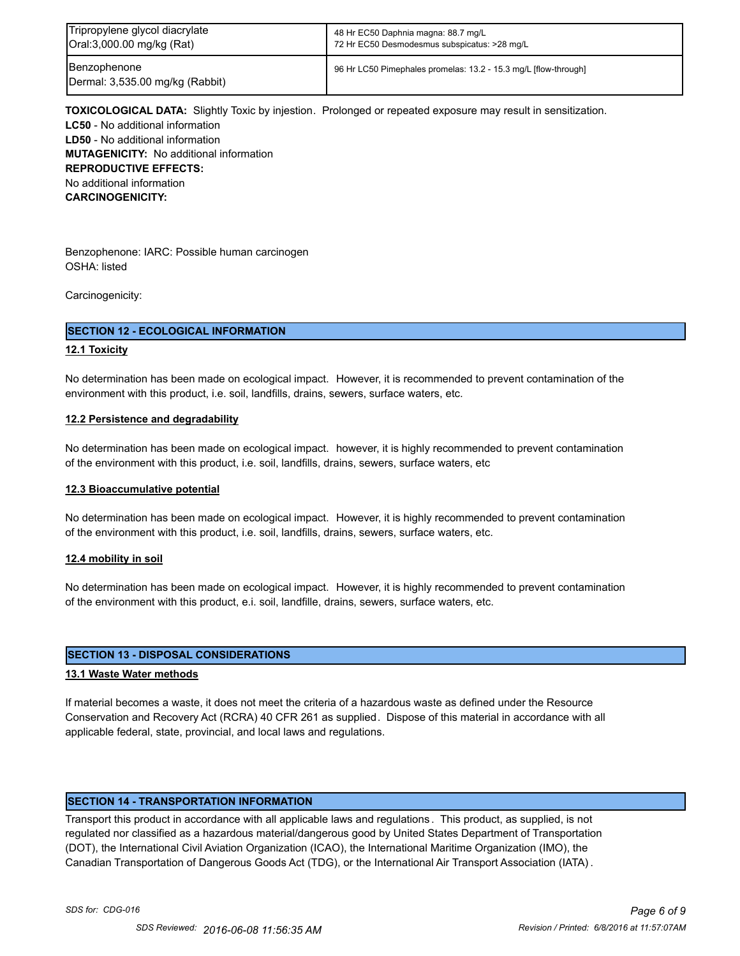| Tripropylene glycol diacrylate                  | 48 Hr EC50 Daphnia magna: 88.7 mg/L                             |
|-------------------------------------------------|-----------------------------------------------------------------|
| Oral:3,000.00 mg/kg (Rat)                       | 72 Hr EC50 Desmodesmus subspicatus: >28 mg/L                    |
| Benzophenone<br>Dermal: 3,535.00 mg/kg (Rabbit) | 96 Hr LC50 Pimephales promelas: 13.2 - 15.3 mg/L [flow-through] |

**TOXICOLOGICAL DATA:** Slightly Toxic by injestion. Prolonged or repeated exposure may result in sensitization. **LC50** - No additional information **LD50** - No additional information **MUTAGENICITY:** No additional information **REPRODUCTIVE EFFECTS:** No additional information **CARCINOGENICITY:**

Benzophenone: IARC: Possible human carcinogen OSHA: listed

Carcinogenicity:

#### **SECTION 12 - ECOLOGICAL INFORMATION**

#### **12.1 Toxicity**

No determination has been made on ecological impact. However, it is recommended to prevent contamination of the environment with this product, i.e. soil, landfills, drains, sewers, surface waters, etc.

#### **12.2 Persistence and degradability**

No determination has been made on ecological impact. however, it is highly recommended to prevent contamination of the environment with this product, i.e. soil, landfills, drains, sewers, surface waters, etc

#### **12.3 Bioaccumulative potential**

No determination has been made on ecological impact. However, it is highly recommended to prevent contamination of the environment with this product, i.e. soil, landfills, drains, sewers, surface waters, etc.

#### **12.4 mobility in soil**

No determination has been made on ecological impact. However, it is highly recommended to prevent contamination of the environment with this product, e.i. soil, landfille, drains, sewers, surface waters, etc.

#### **SECTION 13 - DISPOSAL CONSIDERATIONS**

#### **13.1 Waste Water methods**

If material becomes a waste, it does not meet the criteria of a hazardous waste as defined under the Resource Conservation and Recovery Act (RCRA) 40 CFR 261 as supplied. Dispose of this material in accordance with all applicable federal, state, provincial, and local laws and regulations.

#### **SECTION 14 - TRANSPORTATION INFORMATION**

Transport this product in accordance with all applicable laws and regulations . This product, as supplied, is not regulated nor classified as a hazardous material/dangerous good by United States Department of Transportation (DOT), the International Civil Aviation Organization (ICAO), the International Maritime Organization (IMO), the Canadian Transportation of Dangerous Goods Act (TDG), or the International Air Transport Association (IATA) .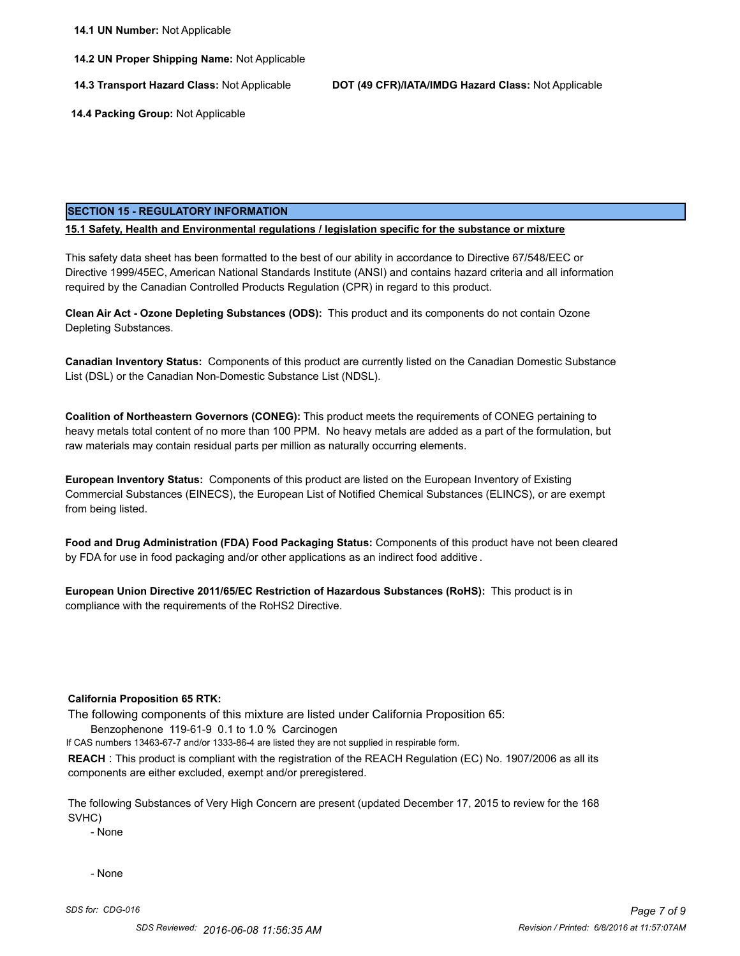**14.2 UN Proper Shipping Name:** Not Applicable

**14.3 Transport Hazard Class:** Not Applicable **DOT (49 CFR)/IATA/IMDG Hazard Class:** Not Applicable

 **14.4 Packing Group:** Not Applicable

#### **SECTION 15 - REGULATORY INFORMATION**

#### **15.1 Safety, Health and Environmental regulations / legislation specific for the substance or mixture**

This safety data sheet has been formatted to the best of our ability in accordance to Directive 67/548/EEC or Directive 1999/45EC, American National Standards Institute (ANSI) and contains hazard criteria and all information required by the Canadian Controlled Products Regulation (CPR) in regard to this product.

**Clean Air Act - Ozone Depleting Substances (ODS):** This product and its components do not contain Ozone Depleting Substances.

**Canadian Inventory Status:** Components of this product are currently listed on the Canadian Domestic Substance List (DSL) or the Canadian Non-Domestic Substance List (NDSL).

**Coalition of Northeastern Governors (CONEG):** This product meets the requirements of CONEG pertaining to heavy metals total content of no more than 100 PPM. No heavy metals are added as a part of the formulation, but raw materials may contain residual parts per million as naturally occurring elements.

**European Inventory Status:** Components of this product are listed on the European Inventory of Existing Commercial Substances (EINECS), the European List of Notified Chemical Substances (ELINCS), or are exempt from being listed.

**Food and Drug Administration (FDA) Food Packaging Status:** Components of this product have not been cleared by FDA for use in food packaging and/or other applications as an indirect food additive .

**European Union Directive 2011/65/EC Restriction of Hazardous Substances (RoHS):** This product is in compliance with the requirements of the RoHS2 Directive.

#### **California Proposition 65 RTK:**

The following components of this mixture are listed under California Proposition 65:

Benzophenone 119-61-9 0.1 to 1.0 % Carcinogen

If CAS numbers 13463-67-7 and/or 1333-86-4 are listed they are not supplied in respirable form.

**REACH** : This product is compliant with the registration of the REACH Regulation (EC) No. 1907/2006 as all its components are either excluded, exempt and/or preregistered.

The following Substances of Very High Concern are present (updated December 17, 2015 to review for the 168 SVHC)

- None

- None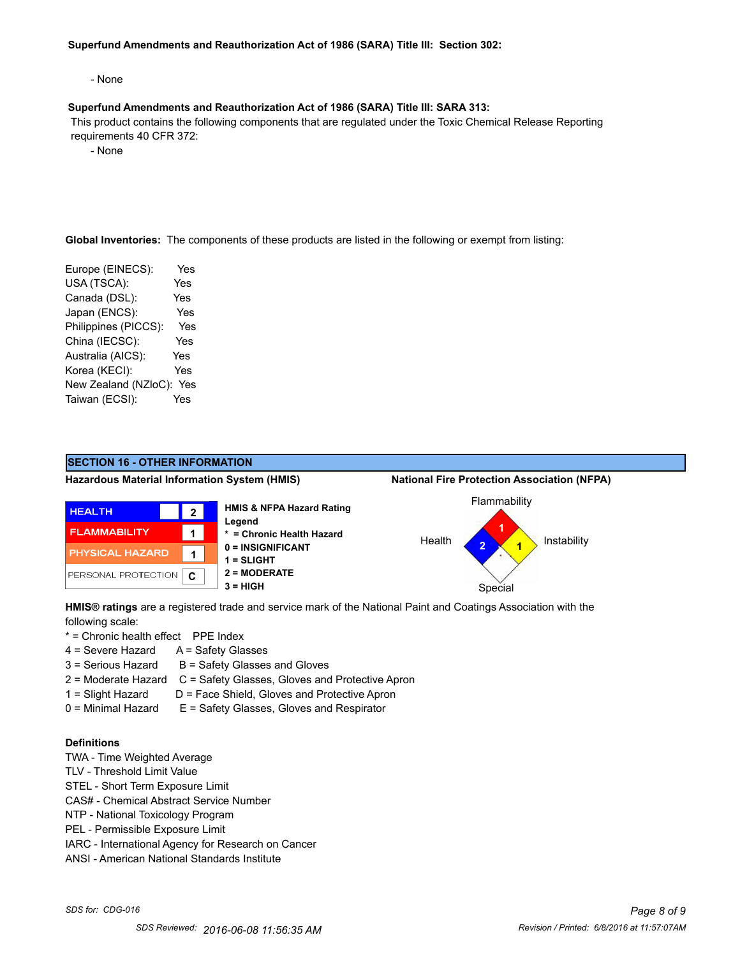#### **Superfund Amendments and Reauthorization Act of 1986 (SARA) Title III: Section 302:**

- None

#### **Superfund Amendments and Reauthorization Act of 1986 (SARA) Title III: SARA 313:**

 This product contains the following components that are regulated under the Toxic Chemical Release Reporting requirements 40 CFR 372:

- None

**Global Inventories:** The components of these products are listed in the following or exempt from listing:

| Europe (EINECS):     | Yes        |
|----------------------|------------|
| USA (TSCA):          | Yes        |
| Canada (DSL):        | Yes        |
| Japan (ENCS):        | Yes        |
| Philippines (PICCS): | Yes        |
| China (IECSC):       | Yes        |
| Australia (AICS):    | <b>Yes</b> |
| Korea (KECI):        | Yes        |
| New Zealand (NZloC): | Yes        |
| Taiwan (ECSI):       | Yes        |
|                      |            |



**HMIS® ratings** are a registered trade and service mark of the National Paint and Coatings Association with the following scale:

- \* = Chronic health effect PPE Index
- $4 =$  Severe Hazard  $A =$  Safety Glasses
- $3 =$  Serious Hazard  $B =$  Safety Glasses and Gloves
- 2 = Moderate Hazard C = Safety Glasses, Gloves and Protective Apron
- 1 = Slight Hazard D = Face Shield, Gloves and Protective Apron
- 0 = Minimal Hazard E = Safety Glasses, Gloves and Respirator

## **Definitions**

- TWA Time Weighted Average
- TLV Threshold Limit Value
- STEL Short Term Exposure Limit
- CAS# Chemical Abstract Service Number
- NTP National Toxicology Program
- PEL Permissible Exposure Limit
- IARC International Agency for Research on Cancer
- ANSI American National Standards Institute